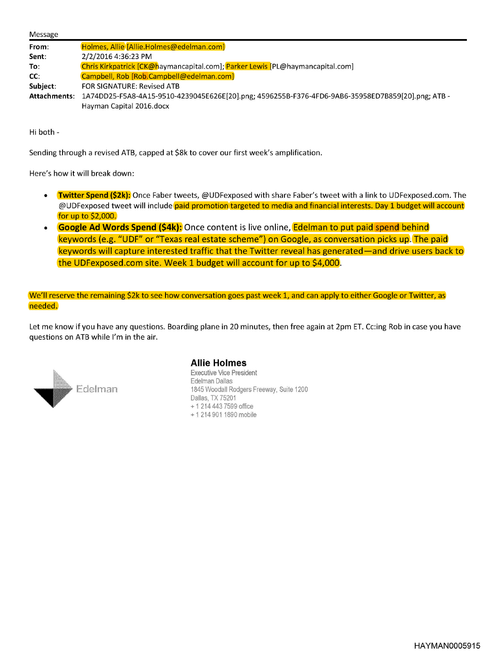| Message      |                                                                                                  |
|--------------|--------------------------------------------------------------------------------------------------|
| From:        | Holmes, Allie [Allie.Holmes@edelman.com]                                                         |
| Sent:        | 2/2/2016 4:36:23 PM                                                                              |
| To:          | Chris Kirkpatrick [CK@haymancapital.com]; Parker Lewis [PL@haymancapital.com]                    |
| CC:          | Campbell, Rob [Rob.Campbell@edelman.com]                                                         |
| Subject:     | <b>FOR SIGNATURE: Revised ATB</b>                                                                |
| Attachments: | 1A74DD25-F5A8-4A15-9510-4239045E626E[20].png; 4596255B-F376-4FD6-9AB6-35958ED7B859[20].png; ATB- |
|              | Hayman Capital 2016.docx                                                                         |

Hi both -

Sending through a revised ATB, capped at \$8k to cover our first week's amplification.

Here's how it will break down:

- **Twitter Spend (\$2k):** Once Faber tweets, @UDFexposed with share Faber's tweet with a link to UDFexposed.com. The @UDFexposed tweet will include paid promotion targeted to media and financial interests. Day 1 budget will account for up to \$2,000.
- **Google Ad Words Spend (\$4k):** Once content is live online, **Edelman to put paid spend behind** keywords (e.g. "UDF" or "Texas real estate scheme") on Google, as conversation picks up. The paid keywords will capture interested traffic that the Twitter reveal has generated—and drive users back to the UDFexposed.com site. Week 1 budget will account for up to \$4,000.

We'll reserve the remaining \$2k to see how conversation goes past week 1, and can apply to either Google or Twitter, as needed.

Let me know if you have any questions. Boarding plane in 20 minutes, then free again at 2pm ET. Cc:ing Rob in case you have questions on ATB while I'm in the air.



## **Allie Holmes**

Executive Vice President<br>Edelman Dallas 1845 Woodall Rodgers Freeway, Suite 1200 Dallas, TX 75201 +1 214 443 7599 office +1 214 901 1890 mobile